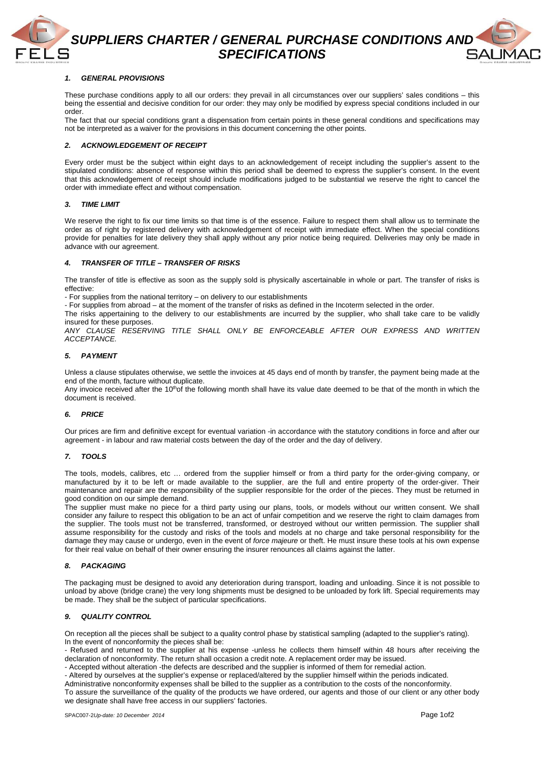

**SUPPLIERS CHARTER / GENERAL PURCHASE CONDITIONS AND SPECIFICATIONS** 

# **1. GENERAL PROVISIONS**

These purchase conditions apply to all our orders: they prevail in all circumstances over our suppliers' sales conditions – this being the essential and decisive condition for our order: they may only be modified by express special conditions included in our order.

The fact that our special conditions grant a dispensation from certain points in these general conditions and specifications may not be interpreted as a waiver for the provisions in this document concerning the other points.

## **2. ACKNOWLEDGEMENT OF RECEIPT**

Every order must be the subject within eight days to an acknowledgement of receipt including the supplier's assent to the stipulated conditions: absence of response within this period shall be deemed to express the supplier's consent. In the event that this acknowledgement of receipt should include modifications judged to be substantial we reserve the right to cancel the order with immediate effect and without compensation.

### **3. TIME LIMIT**

We reserve the right to fix our time limits so that time is of the essence. Failure to respect them shall allow us to terminate the order as of right by registered delivery with acknowledgement of receipt with immediate effect. When the special conditions provide for penalties for late delivery they shall apply without any prior notice being required. Deliveries may only be made in advance with our agreement.

### **4. TRANSFER OF TITLE – TRANSFER OF RISKS**

The transfer of title is effective as soon as the supply sold is physically ascertainable in whole or part. The transfer of risks is effective:

- For supplies from the national territory – on delivery to our establishments

- For supplies from abroad – at the moment of the transfer of risks as defined in the Incoterm selected in the order.

The risks appertaining to the delivery to our establishments are incurred by the supplier, who shall take care to be validly insured for these purposes.

ANY CLAUSE RESERVING TITLE SHALL ONLY BE ENFORCEABLE AFTER OUR EXPRESS AND WRITTEN ACCEPTANCE.

# **5. PAYMENT**

Unless a clause stipulates otherwise, we settle the invoices at 45 days end of month by transfer, the payment being made at the end of the month, facture without duplicate.

Any invoice received after the 10<sup>th</sup>of the following month shall have its value date deemed to be that of the month in which the document is received.

### **6. PRICE**

Our prices are firm and definitive except for eventual variation -in accordance with the statutory conditions in force and after our agreement - in labour and raw material costs between the day of the order and the day of delivery.

## **7. TOOLS**

The tools, models, calibres, etc … ordered from the supplier himself or from a third party for the order-giving company, or manufactured by it to be left or made available to the supplier, are the full and entire property of the order-giver. Their maintenance and repair are the responsibility of the supplier responsible for the order of the pieces. They must be returned in good condition on our simple demand.

The supplier must make no piece for a third party using our plans, tools, or models without our written consent. We shall consider any failure to respect this obligation to be an act of unfair competition and we reserve the right to claim damages from the supplier. The tools must not be transferred, transformed, or destroyed without our written permission. The supplier shall assume responsibility for the custody and risks of the tools and models at no charge and take personal responsibility for the damage they may cause or undergo, even in the event of force majeure or theft. He must insure these tools at his own expense for their real value on behalf of their owner ensuring the insurer renounces all claims against the latter.

### **8. PACKAGING**

The packaging must be designed to avoid any deterioration during transport, loading and unloading. Since it is not possible to unload by above (bridge crane) the very long shipments must be designed to be unloaded by fork lift. Special requirements may be made. They shall be the subject of particular specifications.

# **9. QUALITY CONTROL**

On reception all the pieces shall be subject to a quality control phase by statistical sampling (adapted to the supplier's rating). In the event of nonconformity the pieces shall be:

- Refused and returned to the supplier at his expense -unless he collects them himself within 48 hours after receiving the declaration of nonconformity. The return shall occasion a credit note. A replacement order may be issued.

- Accepted without alteration -the defects are described and the supplier is informed of them for remedial action.

- Altered by ourselves at the supplier's expense or replaced/altered by the supplier himself within the periods indicated.

Administrative nonconformity expenses shall be billed to the supplier as a contribution to the costs of the nonconformity. To assure the surveillance of the quality of the products we have ordered, our agents and those of our client or any other body we designate shall have free access in our suppliers' factories.